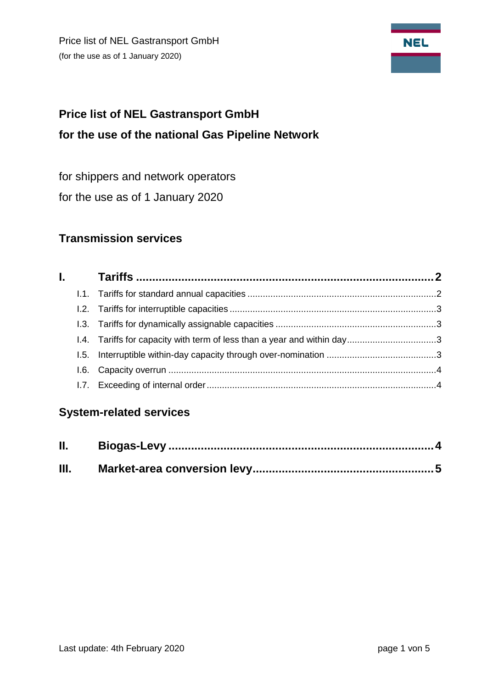Price list of NEL Gastransport GmbH (for the use as of 1 January 2020)



# **Price list of NEL Gastransport GmbH for the use of the national Gas Pipeline Network**

for shippers and network operators

for the use as of 1 January 2020

# **Transmission services**

# **System-related services**

| Ш. |  |
|----|--|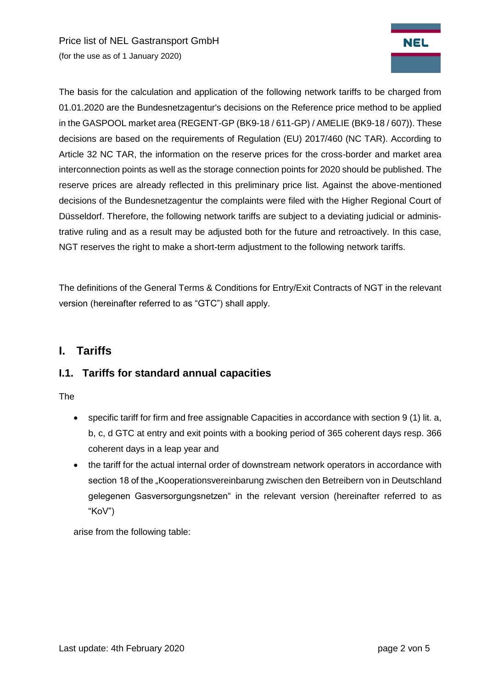Price list of NEL Gastransport GmbH (for the use as of 1 January 2020)



The basis for the calculation and application of the following network tariffs to be charged from 01.01.2020 are the Bundesnetzagentur's decisions on the Reference price method to be applied in the GASPOOL market area (REGENT-GP (BK9-18 / 611-GP) / AMELIE (BK9-18 / 607)). These decisions are based on the requirements of Regulation (EU) 2017/460 (NC TAR). According to Article 32 NC TAR, the information on the reserve prices for the cross-border and market area interconnection points as well as the storage connection points for 2020 should be published. The reserve prices are already reflected in this preliminary price list. Against the above-mentioned decisions of the Bundesnetzagentur the complaints were filed with the Higher Regional Court of Düsseldorf. Therefore, the following network tariffs are subject to a deviating judicial or administrative ruling and as a result may be adjusted both for the future and retroactively. In this case, NGT reserves the right to make a short-term adjustment to the following network tariffs.

<span id="page-1-0"></span>The definitions of the General Terms & Conditions for Entry/Exit Contracts of NGT in the relevant version (hereinafter referred to as "GTC") shall apply.

## **I. Tariffs**

#### <span id="page-1-1"></span>**I.1. Tariffs for standard annual capacities**

The

- specific tariff for firm and free assignable Capacities in accordance with section 9 (1) lit. a, b, c, d GTC at entry and exit points with a booking period of 365 coherent days resp. 366 coherent days in a leap year and
- the tariff for the actual internal order of downstream network operators in accordance with section 18 of the "Kooperationsvereinbarung zwischen den Betreibern von in Deutschland gelegenen Gasversorgungsnetzen" in the relevant version (hereinafter referred to as "KoV")

arise from the following table: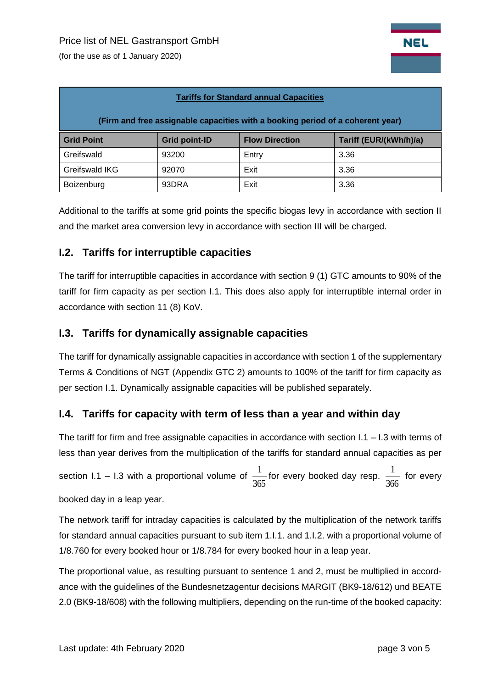(for the use as of 1 January 2020)

| <b>Tariffs for Standard annual Capacities</b>                                  |                      |                       |                        |  |  |  |  |  |
|--------------------------------------------------------------------------------|----------------------|-----------------------|------------------------|--|--|--|--|--|
| (Firm and free assignable capacities with a booking period of a coherent year) |                      |                       |                        |  |  |  |  |  |
| <b>Grid Point</b>                                                              | <b>Grid point-ID</b> | <b>Flow Direction</b> | Tariff (EUR/(kWh/h)/a) |  |  |  |  |  |
| Greifswald                                                                     | 93200                | Entry                 | 3.36                   |  |  |  |  |  |
| Greifswald IKG                                                                 | 92070                | Exit                  | 3.36                   |  |  |  |  |  |
| Boizenburg                                                                     | 93DRA                | Exit                  | 3.36                   |  |  |  |  |  |

Additional to the tariffs at some grid points the specific biogas levy in accordance with section II and the market area conversion levy in accordance with section III will be charged.

#### <span id="page-2-0"></span>**I.2. Tariffs for interruptible capacities**

The tariff for interruptible capacities in accordance with section 9 (1) GTC amounts to 90% of the tariff for firm capacity as per section I.1. This does also apply for interruptible internal order in accordance with section 11 (8) KoV.

#### <span id="page-2-1"></span>**I.3. Tariffs for dynamically assignable capacities**

The tariff for dynamically assignable capacities in accordance with section 1 of the supplementary Terms & Conditions of NGT (Appendix GTC 2) amounts to 100% of the tariff for firm capacity as per section I.1. Dynamically assignable capacities will be published separately.

#### <span id="page-2-2"></span>**I.4. Tariffs for capacity with term of less than a year and within day**

The tariff for firm and free assignable capacities in accordance with section I.1 – I.3 with terms of less than year derives from the multiplication of the tariffs for standard annual capacities as per section I.1 – I.3 with a proportional volume of 365  $\frac{1}{\sqrt{2}}$  for every booked day resp. 366  $\frac{1}{\sqrt{2}}$  for every booked day in a leap year.

The network tariff for intraday capacities is calculated by the multiplication of the network tariffs for standard annual capacities pursuant to sub item 1.I.1. and 1.I.2. with a proportional volume of 1/8.760 for every booked hour or 1/8.784 for every booked hour in a leap year.

The proportional value, as resulting pursuant to sentence 1 and 2, must be multiplied in accordance with the guidelines of the Bundesnetzagentur decisions MARGIT (BK9-18/612) und BEATE 2.0 (BK9-18/608) with the following multipliers, depending on the run-time of the booked capacity: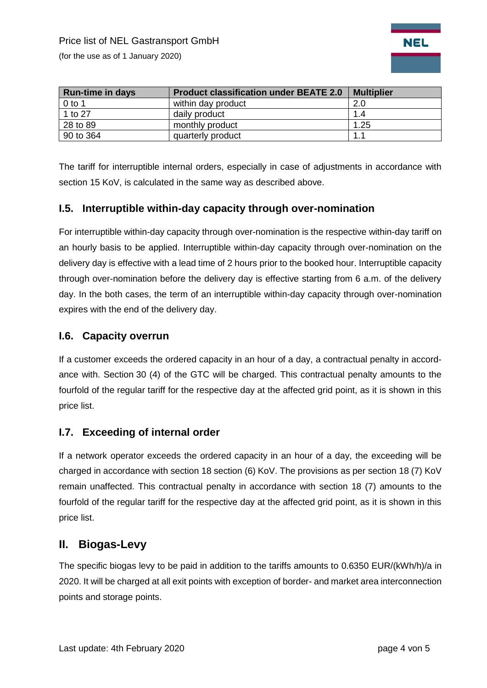(for the use as of 1 January 2020)



| <b>Run-time in days</b> | <b>Product classification under BEATE 2.0</b> | <b>Multiplier</b> |
|-------------------------|-----------------------------------------------|-------------------|
| $0$ to 1                | within day product                            | 2.0               |
| 1 to 27                 | daily product                                 | 1.4               |
| 28 to 89                | monthly product                               | 1.25              |
| 90 to 364               | quarterly product                             | 1.1               |

The tariff for interruptible internal orders, especially in case of adjustments in accordance with section 15 KoV, is calculated in the same way as described above.

#### **I.5. Interruptible within-day capacity through over-nomination**

For interruptible within-day capacity through over-nomination is the respective within-day tariff on an hourly basis to be applied. Interruptible within-day capacity through over-nomination on the delivery day is effective with a lead time of 2 hours prior to the booked hour. Interruptible capacity through over-nomination before the delivery day is effective starting from 6 a.m. of the delivery day. In the both cases, the term of an interruptible within-day capacity through over-nomination expires with the end of the delivery day.

#### <span id="page-3-0"></span>**I.6. Capacity overrun**

If a customer exceeds the ordered capacity in an hour of a day, a contractual penalty in accordance with. Section 30 (4) of the GTC will be charged. This contractual penalty amounts to the fourfold of the regular tariff for the respective day at the affected grid point, as it is shown in this price list.

#### <span id="page-3-1"></span>**I.7. Exceeding of internal order**

If a network operator exceeds the ordered capacity in an hour of a day, the exceeding will be charged in accordance with section 18 section (6) KoV. The provisions as per section 18 (7) KoV remain unaffected. This contractual penalty in accordance with section 18 (7) amounts to the fourfold of the regular tariff for the respective day at the affected grid point, as it is shown in this price list.

### <span id="page-3-2"></span>**II. Biogas-Levy**

The specific biogas levy to be paid in addition to the tariffs amounts to 0.6350 EUR/(kWh/h)/a in 2020. It will be charged at all exit points with exception of border- and market area interconnection points and storage points.